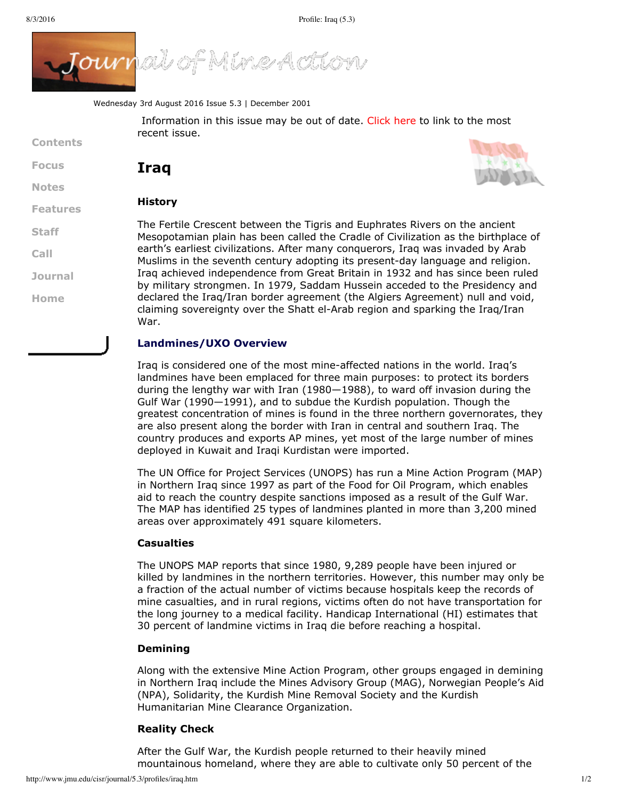

Wednesday 3rd August 2016 Issue 5.3 | December 2001

Information in this issue may be out of date. [Click](http://www.jmu.edu/cisr/journal/current.shtml) here to link to the most recent issue.

**[Contents](http://www.jmu.edu/cisr/journal/5.3/index.htm)**

**[Focus](http://www.jmu.edu/cisr/journal/5.3/index.htm#focus)**

**[Notes](http://www.jmu.edu/cisr/journal/5.3/index.htm#notes)**

**[Staff](http://www.jmu.edu/cisr/staff/index.shtml)**

**[Call](http://www.jmu.edu/cisr/journal/cfps.shtml)**

**[Journal](http://www.jmu.edu/cisr/journal/past-issues.shtml)**

**[Home](http://www.jmu.edu/cisr)**

**[Features](http://www.jmu.edu/cisr/journal/5.3/index.htm#feature)**

**Iraq**

#### **History**



The Fertile Crescent between the Tigris and Euphrates Rivers on the ancient Mesopotamian plain has been called the Cradle of Civilization as the birthplace of earth's earliest civilizations. After many conquerors, Iraq was invaded by Arab Muslims in the seventh century adopting its present-day language and religion. Iraq achieved independence from Great Britain in 1932 and has since been ruled by military strongmen. In 1979, Saddam Hussein acceded to the Presidency and declared the Iraq/Iran border agreement (the Algiers Agreement) null and void, claiming sovereignty over the Shatt el-Arab region and sparking the Iraq/Iran War.

# **Landmines/UXO Overview**

Iraq is considered one of the most mine-affected nations in the world. Iraq's landmines have been emplaced for three main purposes: to protect its borders during the lengthy war with Iran (1980—1988), to ward off invasion during the Gulf War (1990—1991), and to subdue the Kurdish population. Though the greatest concentration of mines is found in the three northern governorates, they are also present along the border with Iran in central and southern Iraq. The country produces and exports AP mines, yet most of the large number of mines deployed in Kuwait and Iraqi Kurdistan were imported.

The UN Office for Project Services (UNOPS) has run a Mine Action Program (MAP) in Northern Iraq since 1997 as part of the Food for Oil Program, which enables aid to reach the country despite sanctions imposed as a result of the Gulf War. The MAP has identified 25 types of landmines planted in more than 3,200 mined areas over approximately 491 square kilometers.

#### **Casualties**

The UNOPS MAP reports that since 1980, 9,289 people have been injured or killed by landmines in the northern territories. However, this number may only be a fraction of the actual number of victims because hospitals keep the records of mine casualties, and in rural regions, victims often do not have transportation for the long journey to a medical facility. Handicap International (HI) estimates that 30 percent of landmine victims in Iraq die before reaching a hospital.

### **Demining**

Along with the extensive Mine Action Program, other groups engaged in demining in Northern Iraq include the Mines Advisory Group (MAG), Norwegian People's Aid (NPA), Solidarity, the Kurdish Mine Removal Society and the Kurdish Humanitarian Mine Clearance Organization.

## **Reality Check**

After the Gulf War, the Kurdish people returned to their heavily mined mountainous homeland, where they are able to cultivate only 50 percent of the